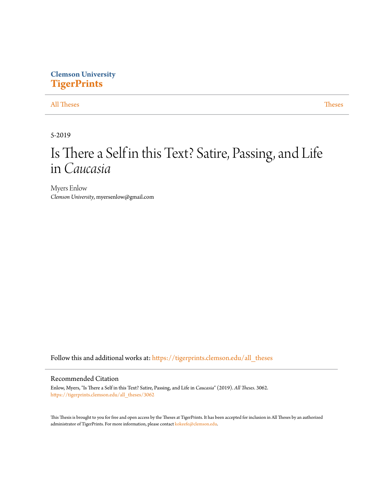## **Clemson University [TigerPrints](https://tigerprints.clemson.edu?utm_source=tigerprints.clemson.edu%2Fall_theses%2F3062&utm_medium=PDF&utm_campaign=PDFCoverPages)**

### [All Theses](https://tigerprints.clemson.edu/all_theses?utm_source=tigerprints.clemson.edu%2Fall_theses%2F3062&utm_medium=PDF&utm_campaign=PDFCoverPages) **[Theses](https://tigerprints.clemson.edu/theses?utm_source=tigerprints.clemson.edu%2Fall_theses%2F3062&utm_medium=PDF&utm_campaign=PDFCoverPages)**

5-2019

# Is There a Self in this Text? Satire, Passing, and Life in *Caucasia*

Myers Enlow *Clemson University*, myersenlow@gmail.com

Follow this and additional works at: [https://tigerprints.clemson.edu/all\\_theses](https://tigerprints.clemson.edu/all_theses?utm_source=tigerprints.clemson.edu%2Fall_theses%2F3062&utm_medium=PDF&utm_campaign=PDFCoverPages)

#### Recommended Citation

Enlow, Myers, "Is There a Self in this Text? Satire, Passing, and Life in *Caucasia*" (2019). *All Theses*. 3062. [https://tigerprints.clemson.edu/all\\_theses/3062](https://tigerprints.clemson.edu/all_theses/3062?utm_source=tigerprints.clemson.edu%2Fall_theses%2F3062&utm_medium=PDF&utm_campaign=PDFCoverPages)

This Thesis is brought to you for free and open access by the Theses at TigerPrints. It has been accepted for inclusion in All Theses by an authorized administrator of TigerPrints. For more information, please contact [kokeefe@clemson.edu](mailto:kokeefe@clemson.edu).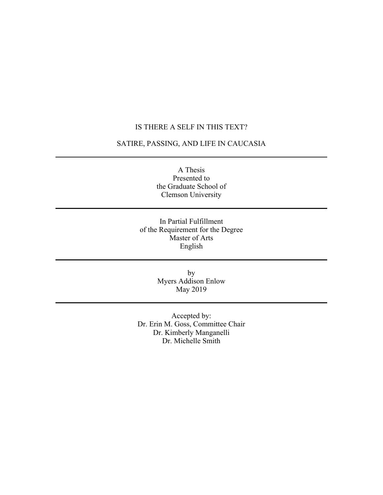## IS THERE A SELF IN THIS TEXT?

## SATIRE, PASSING, AND LIFE IN CAUCASIA

A Thesis Presented to the Graduate School of Clemson University

In Partial Fulfillment of the Requirement for the Degree Master of Arts English

> by Myers Addison Enlow May 2019

Accepted by: Dr. Erin M. Goss, Committee Chair Dr. Kimberly Manganelli Dr. Michelle Smith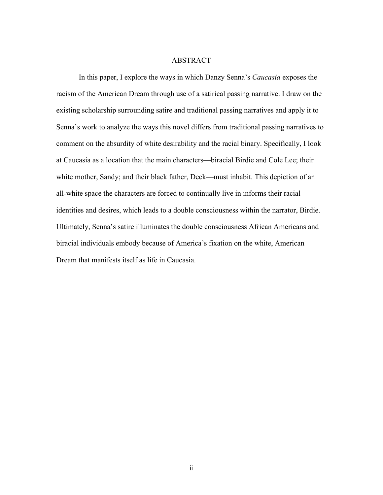#### ABSTRACT

In this paper, I explore the ways in which Danzy Senna's *Caucasia* exposes the racism of the American Dream through use of a satirical passing narrative. I draw on the existing scholarship surrounding satire and traditional passing narratives and apply it to Senna's work to analyze the ways this novel differs from traditional passing narratives to comment on the absurdity of white desirability and the racial binary. Specifically, I look at Caucasia as a location that the main characters—biracial Birdie and Cole Lee; their white mother, Sandy; and their black father, Deck—must inhabit. This depiction of an all-white space the characters are forced to continually live in informs their racial identities and desires, which leads to a double consciousness within the narrator, Birdie. Ultimately, Senna's satire illuminates the double consciousness African Americans and biracial individuals embody because of America's fixation on the white, American Dream that manifests itself as life in Caucasia.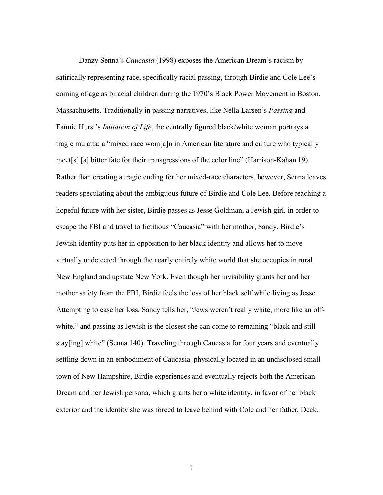Danzy Senna's *Caucasia* (1998) exposes the American Dream's racism by satirically representing race, specifically racial passing, through Birdie and Cole Lee's coming of age as biracial children during the 1970's Black Power Movement in Boston, Massachusetts. Traditionally in passing narratives, like Nella Larsen's *Passing* and Fannie Hurst's *Imitation of Life*, the centrally figured black/white woman portrays a tragic mulatta: a "mixed race wom[a]n in American literature and culture who typically meet[s] [a] bitter fate for their transgressions of the color line" (Harrison-Kahan 19). Rather than creating a tragic ending for her mixed-race characters, however, Senna leaves readers speculating about the ambiguous future of Birdie and Cole Lee. Before reaching a hopeful future with her sister, Birdie passes as Jesse Goldman, a Jewish girl, in order to escape the FBI and travel to fictitious "Caucasia" with her mother, Sandy. Birdie's Jewish identity puts her in opposition to her black identity and allows her to move virtually undetected through the nearly entirely white world that she occupies in rural New England and upstate New York. Even though her invisibility grants her and her mother safety from the FBI, Birdie feels the loss of her black self while living as Jesse. Attempting to ease her loss, Sandy tells her, "Jews weren't really white, more like an offwhite," and passing as Jewish is the closest she can come to remaining "black and still stay[ing] white" (Senna 140). Traveling through Caucasia for four years and eventually settling down in an embodiment of Caucasia, physically located in an undisclosed small town of New Hampshire, Birdie experiences and eventually rejects both the American Dream and her Jewish persona, which grants her a white identity, in favor of her black exterior and the identity she was forced to leave behind with Cole and her father, Deck.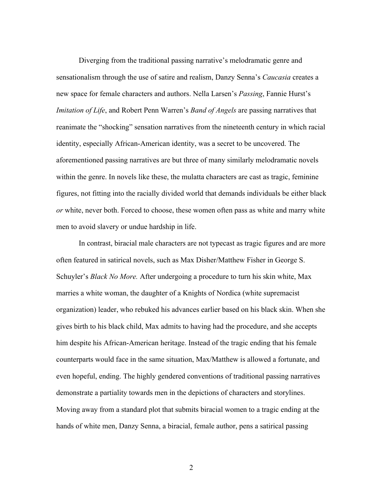Diverging from the traditional passing narrative's melodramatic genre and sensationalism through the use of satire and realism, Danzy Senna's *Caucasia* creates a new space for female characters and authors. Nella Larsen's *Passing*, Fannie Hurst's *Imitation of Life*, and Robert Penn Warren's *Band of Angels* are passing narratives that reanimate the "shocking" sensation narratives from the nineteenth century in which racial identity, especially African-American identity, was a secret to be uncovered. The aforementioned passing narratives are but three of many similarly melodramatic novels within the genre. In novels like these, the mulatta characters are cast as tragic, feminine figures, not fitting into the racially divided world that demands individuals be either black *or* white, never both. Forced to choose, these women often pass as white and marry white men to avoid slavery or undue hardship in life.

In contrast, biracial male characters are not typecast as tragic figures and are more often featured in satirical novels, such as Max Disher/Matthew Fisher in George S. Schuyler's *Black No More.* After undergoing a procedure to turn his skin white, Max marries a white woman, the daughter of a Knights of Nordica (white supremacist organization) leader, who rebuked his advances earlier based on his black skin. When she gives birth to his black child, Max admits to having had the procedure, and she accepts him despite his African-American heritage. Instead of the tragic ending that his female counterparts would face in the same situation, Max/Matthew is allowed a fortunate, and even hopeful, ending. The highly gendered conventions of traditional passing narratives demonstrate a partiality towards men in the depictions of characters and storylines. Moving away from a standard plot that submits biracial women to a tragic ending at the hands of white men, Danzy Senna, a biracial, female author, pens a satirical passing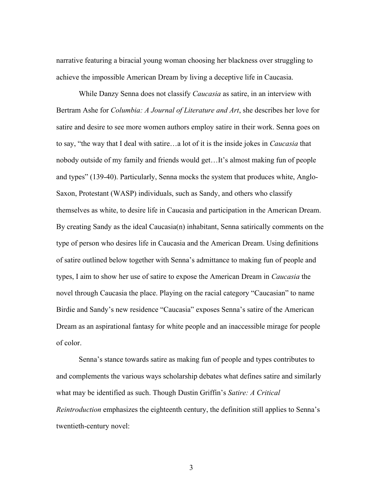narrative featuring a biracial young woman choosing her blackness over struggling to achieve the impossible American Dream by living a deceptive life in Caucasia.

While Danzy Senna does not classify *Caucasia* as satire, in an interview with Bertram Ashe for *Columbia: A Journal of Literature and Art*, she describes her love for satire and desire to see more women authors employ satire in their work. Senna goes on to say, "the way that I deal with satire…a lot of it is the inside jokes in *Caucasia* that nobody outside of my family and friends would get…It's almost making fun of people and types" (139-40). Particularly, Senna mocks the system that produces white, Anglo-Saxon, Protestant (WASP) individuals, such as Sandy, and others who classify themselves as white, to desire life in Caucasia and participation in the American Dream. By creating Sandy as the ideal Caucasia(n) inhabitant, Senna satirically comments on the type of person who desires life in Caucasia and the American Dream. Using definitions of satire outlined below together with Senna's admittance to making fun of people and types, I aim to show her use of satire to expose the American Dream in *Caucasia* the novel through Caucasia the place. Playing on the racial category "Caucasian" to name Birdie and Sandy's new residence "Caucasia" exposes Senna's satire of the American Dream as an aspirational fantasy for white people and an inaccessible mirage for people of color.

Senna's stance towards satire as making fun of people and types contributes to and complements the various ways scholarship debates what defines satire and similarly what may be identified as such. Though Dustin Griffin's *Satire: A Critical Reintroduction* emphasizes the eighteenth century, the definition still applies to Senna's twentieth-century novel: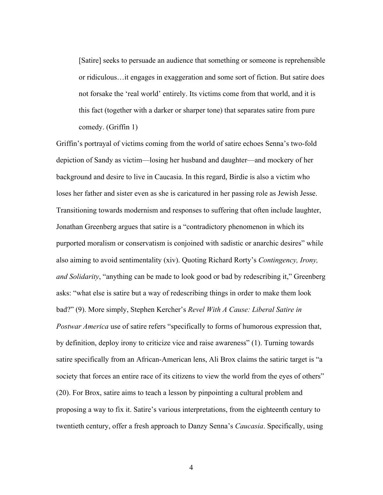[Satire] seeks to persuade an audience that something or someone is reprehensible or ridiculous…it engages in exaggeration and some sort of fiction. But satire does not forsake the 'real world' entirely. Its victims come from that world, and it is this fact (together with a darker or sharper tone) that separates satire from pure comedy. (Griffin 1)

Griffin's portrayal of victims coming from the world of satire echoes Senna's two-fold depiction of Sandy as victim—losing her husband and daughter—and mockery of her background and desire to live in Caucasia. In this regard, Birdie is also a victim who loses her father and sister even as she is caricatured in her passing role as Jewish Jesse. Transitioning towards modernism and responses to suffering that often include laughter, Jonathan Greenberg argues that satire is a "contradictory phenomenon in which its purported moralism or conservatism is conjoined with sadistic or anarchic desires" while also aiming to avoid sentimentality (xiv). Quoting Richard Rorty's *Contingency, Irony, and Solidarity*, "anything can be made to look good or bad by redescribing it," Greenberg asks: "what else is satire but a way of redescribing things in order to make them look bad?" (9). More simply, Stephen Kercher's *Revel With A Cause: Liberal Satire in Postwar America* use of satire refers "specifically to forms of humorous expression that, by definition, deploy irony to criticize vice and raise awareness" (1). Turning towards satire specifically from an African-American lens, Ali Brox claims the satiric target is "a society that forces an entire race of its citizens to view the world from the eyes of others" (20). For Brox, satire aims to teach a lesson by pinpointing a cultural problem and proposing a way to fix it. Satire's various interpretations, from the eighteenth century to twentieth century, offer a fresh approach to Danzy Senna's *Caucasia*. Specifically, using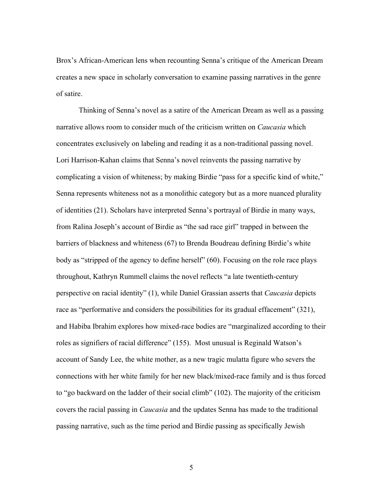Brox's African-American lens when recounting Senna's critique of the American Dream creates a new space in scholarly conversation to examine passing narratives in the genre of satire.

Thinking of Senna's novel as a satire of the American Dream as well as a passing narrative allows room to consider much of the criticism written on *Caucasia* which concentrates exclusively on labeling and reading it as a non-traditional passing novel. Lori Harrison-Kahan claims that Senna's novel reinvents the passing narrative by complicating a vision of whiteness; by making Birdie "pass for a specific kind of white," Senna represents whiteness not as a monolithic category but as a more nuanced plurality of identities (21). Scholars have interpreted Senna's portrayal of Birdie in many ways, from Ralina Joseph's account of Birdie as "the sad race girl" trapped in between the barriers of blackness and whiteness (67) to Brenda Boudreau defining Birdie's white body as "stripped of the agency to define herself" (60). Focusing on the role race plays throughout, Kathryn Rummell claims the novel reflects "a late twentieth-century perspective on racial identity" (1), while Daniel Grassian asserts that *Caucasia* depicts race as "performative and considers the possibilities for its gradual effacement" (321), and Habiba Ibrahim explores how mixed-race bodies are "marginalized according to their roles as signifiers of racial difference" (155). Most unusual is Reginald Watson's account of Sandy Lee, the white mother, as a new tragic mulatta figure who severs the connections with her white family for her new black/mixed-race family and is thus forced to "go backward on the ladder of their social climb" (102). The majority of the criticism covers the racial passing in *Caucasia* and the updates Senna has made to the traditional passing narrative, such as the time period and Birdie passing as specifically Jewish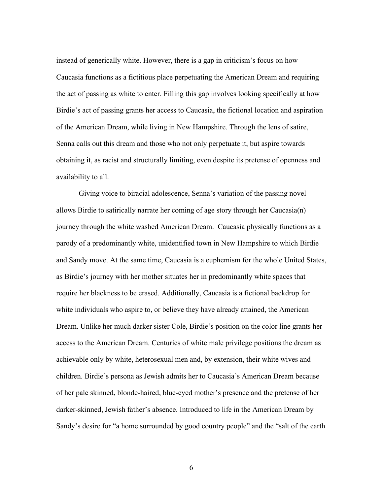instead of generically white. However, there is a gap in criticism's focus on how Caucasia functions as a fictitious place perpetuating the American Dream and requiring the act of passing as white to enter. Filling this gap involves looking specifically at how Birdie's act of passing grants her access to Caucasia, the fictional location and aspiration of the American Dream, while living in New Hampshire. Through the lens of satire, Senna calls out this dream and those who not only perpetuate it, but aspire towards obtaining it, as racist and structurally limiting, even despite its pretense of openness and availability to all.

Giving voice to biracial adolescence, Senna's variation of the passing novel allows Birdie to satirically narrate her coming of age story through her Caucasia(n) journey through the white washed American Dream. Caucasia physically functions as a parody of a predominantly white, unidentified town in New Hampshire to which Birdie and Sandy move. At the same time, Caucasia is a euphemism for the whole United States, as Birdie's journey with her mother situates her in predominantly white spaces that require her blackness to be erased. Additionally, Caucasia is a fictional backdrop for white individuals who aspire to, or believe they have already attained, the American Dream. Unlike her much darker sister Cole, Birdie's position on the color line grants her access to the American Dream. Centuries of white male privilege positions the dream as achievable only by white, heterosexual men and, by extension, their white wives and children. Birdie's persona as Jewish admits her to Caucasia's American Dream because of her pale skinned, blonde-haired, blue-eyed mother's presence and the pretense of her darker-skinned, Jewish father's absence. Introduced to life in the American Dream by Sandy's desire for "a home surrounded by good country people" and the "salt of the earth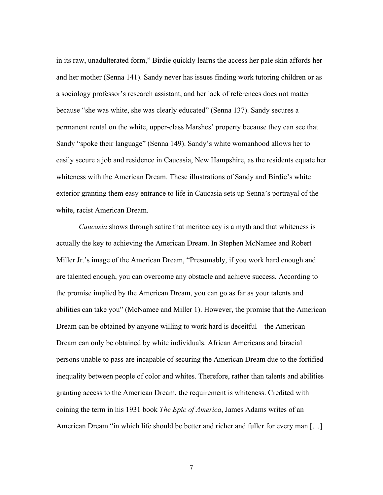in its raw, unadulterated form," Birdie quickly learns the access her pale skin affords her and her mother (Senna 141). Sandy never has issues finding work tutoring children or as a sociology professor's research assistant, and her lack of references does not matter because "she was white, she was clearly educated" (Senna 137). Sandy secures a permanent rental on the white, upper-class Marshes' property because they can see that Sandy "spoke their language" (Senna 149). Sandy's white womanhood allows her to easily secure a job and residence in Caucasia, New Hampshire, as the residents equate her whiteness with the American Dream. These illustrations of Sandy and Birdie's white exterior granting them easy entrance to life in Caucasia sets up Senna's portrayal of the white, racist American Dream.

*Caucasia* shows through satire that meritocracy is a myth and that whiteness is actually the key to achieving the American Dream. In Stephen McNamee and Robert Miller Jr.'s image of the American Dream, "Presumably, if you work hard enough and are talented enough, you can overcome any obstacle and achieve success. According to the promise implied by the American Dream, you can go as far as your talents and abilities can take you" (McNamee and Miller 1). However, the promise that the American Dream can be obtained by anyone willing to work hard is deceitful—the American Dream can only be obtained by white individuals. African Americans and biracial persons unable to pass are incapable of securing the American Dream due to the fortified inequality between people of color and whites. Therefore, rather than talents and abilities granting access to the American Dream, the requirement is whiteness. Credited with coining the term in his 1931 book *The Epic of America*, James Adams writes of an American Dream "in which life should be better and richer and fuller for every man […]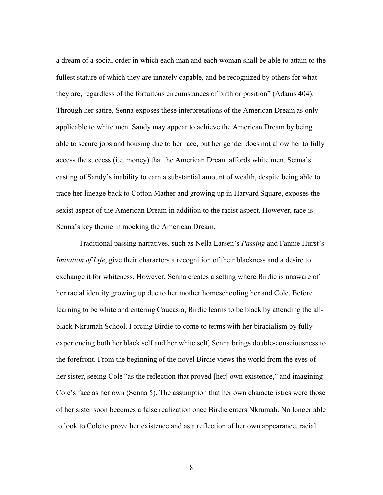a dream of a social order in which each man and each woman shall be able to attain to the fullest stature of which they are innately capable, and be recognized by others for what they are, regardless of the fortuitous circumstances of birth or position" (Adams 404). Through her satire, Senna exposes these interpretations of the American Dream as only applicable to white men. Sandy may appear to achieve the American Dream by being able to secure jobs and housing due to her race, but her gender does not allow her to fully access the success (i.e. money) that the American Dream affords white men. Senna's casting of Sandy's inability to earn a substantial amount of wealth, despite being able to trace her lineage back to Cotton Mather and growing up in Harvard Square, exposes the sexist aspect of the American Dream in addition to the racist aspect. However, race is Senna's key theme in mocking the American Dream.

Traditional passing narratives, such as Nella Larsen's *Passing* and Fannie Hurst's *Imitation of Life*, give their characters a recognition of their blackness and a desire to exchange it for whiteness. However, Senna creates a setting where Birdie is unaware of her racial identity growing up due to her mother homeschooling her and Cole. Before learning to be white and entering Caucasia, Birdie learns to be black by attending the allblack Nkrumah School. Forcing Birdie to come to terms with her biracialism by fully experiencing both her black self and her white self, Senna brings double-consciousness to the forefront. From the beginning of the novel Birdie views the world from the eyes of her sister, seeing Cole "as the reflection that proved [her] own existence," and imagining Cole's face as her own (Senna 5). The assumption that her own characteristics were those of her sister soon becomes a false realization once Birdie enters Nkrumah. No longer able to look to Cole to prove her existence and as a reflection of her own appearance, racial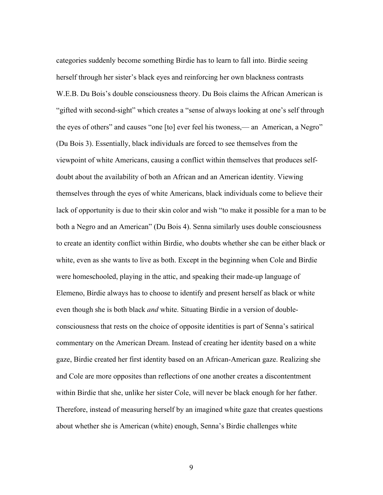categories suddenly become something Birdie has to learn to fall into. Birdie seeing herself through her sister's black eyes and reinforcing her own blackness contrasts W.E.B. Du Bois's double consciousness theory. Du Bois claims the African American is "gifted with second-sight" which creates a "sense of always looking at one's self through the eyes of others" and causes "one [to] ever feel his twoness,— an American, a Negro" (Du Bois 3). Essentially, black individuals are forced to see themselves from the viewpoint of white Americans, causing a conflict within themselves that produces selfdoubt about the availability of both an African and an American identity. Viewing themselves through the eyes of white Americans, black individuals come to believe their lack of opportunity is due to their skin color and wish "to make it possible for a man to be both a Negro and an American" (Du Bois 4). Senna similarly uses double consciousness to create an identity conflict within Birdie, who doubts whether she can be either black or white, even as she wants to live as both. Except in the beginning when Cole and Birdie were homeschooled, playing in the attic, and speaking their made-up language of Elemeno, Birdie always has to choose to identify and present herself as black or white even though she is both black *and* white. Situating Birdie in a version of doubleconsciousness that rests on the choice of opposite identities is part of Senna's satirical commentary on the American Dream. Instead of creating her identity based on a white gaze, Birdie created her first identity based on an African-American gaze. Realizing she and Cole are more opposites than reflections of one another creates a discontentment within Birdie that she, unlike her sister Cole, will never be black enough for her father. Therefore, instead of measuring herself by an imagined white gaze that creates questions about whether she is American (white) enough, Senna's Birdie challenges white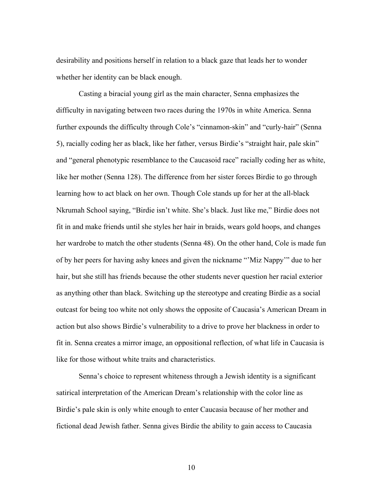desirability and positions herself in relation to a black gaze that leads her to wonder whether her identity can be black enough.

Casting a biracial young girl as the main character, Senna emphasizes the difficulty in navigating between two races during the 1970s in white America. Senna further expounds the difficulty through Cole's "cinnamon-skin" and "curly-hair" (Senna 5), racially coding her as black, like her father, versus Birdie's "straight hair, pale skin" and "general phenotypic resemblance to the Caucasoid race" racially coding her as white, like her mother (Senna 128). The difference from her sister forces Birdie to go through learning how to act black on her own. Though Cole stands up for her at the all-black Nkrumah School saying, "Birdie isn't white. She's black. Just like me," Birdie does not fit in and make friends until she styles her hair in braids, wears gold hoops, and changes her wardrobe to match the other students (Senna 48). On the other hand, Cole is made fun of by her peers for having ashy knees and given the nickname "'Miz Nappy'" due to her hair, but she still has friends because the other students never question her racial exterior as anything other than black. Switching up the stereotype and creating Birdie as a social outcast for being too white not only shows the opposite of Caucasia's American Dream in action but also shows Birdie's vulnerability to a drive to prove her blackness in order to fit in. Senna creates a mirror image, an oppositional reflection, of what life in Caucasia is like for those without white traits and characteristics.

Senna's choice to represent whiteness through a Jewish identity is a significant satirical interpretation of the American Dream's relationship with the color line as Birdie's pale skin is only white enough to enter Caucasia because of her mother and fictional dead Jewish father. Senna gives Birdie the ability to gain access to Caucasia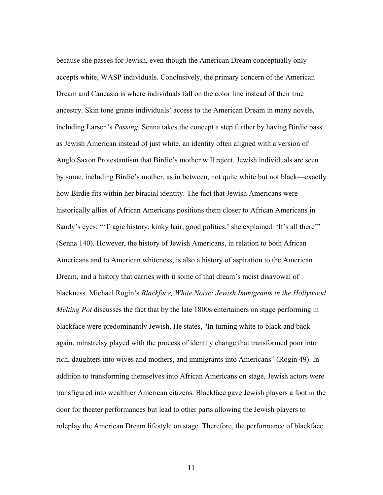because she passes for Jewish, even though the American Dream conceptually only accepts white, WASP individuals. Conclusively, the primary concern of the American Dream and Caucasia is where individuals fall on the color line instead of their true ancestry. Skin tone grants individuals' access to the American Dream in many novels, including Larsen's *Passing*. Senna takes the concept a step further by having Birdie pass as Jewish American instead of just white, an identity often aligned with a version of Anglo Saxon Protestantism that Birdie's mother will reject. Jewish individuals are seen by some, including Birdie's mother, as in between, not quite white but not black—exactly how Birdie fits within her biracial identity. The fact that Jewish Americans were historically allies of African Americans positions them closer to African Americans in Sandy's eyes: "'Tragic history, kinky hair, good politics,' she explained. 'It's all there'" (Senna 140). However, the history of Jewish Americans, in relation to both African Americans and to American whiteness, is also a history of aspiration to the American Dream, and a history that carries with it some of that dream's racist disavowal of blackness. Michael Rogin's *Blackface, White Noise: Jewish Immigrants in the Hollywood Melting Pot* discusses the fact that by the late 1800s entertainers on stage performing in blackface were predominantly Jewish. He states, "In turning white to black and back again, minstrelsy played with the process of identity change that transformed poor into rich, daughters into wives and mothers, and immigrants into Americans" (Rogin 49). In addition to transforming themselves into African Americans on stage, Jewish actors were transfigured into wealthier American citizens. Blackface gave Jewish players a foot in the door for theater performances but lead to other parts allowing the Jewish players to roleplay the American Dream lifestyle on stage. Therefore, the performance of blackface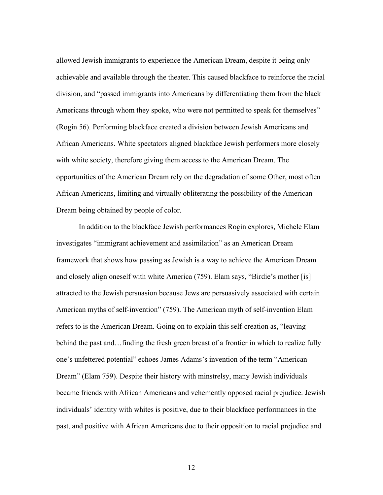allowed Jewish immigrants to experience the American Dream, despite it being only achievable and available through the theater. This caused blackface to reinforce the racial division, and "passed immigrants into Americans by differentiating them from the black Americans through whom they spoke, who were not permitted to speak for themselves" (Rogin 56). Performing blackface created a division between Jewish Americans and African Americans. White spectators aligned blackface Jewish performers more closely with white society, therefore giving them access to the American Dream. The opportunities of the American Dream rely on the degradation of some Other, most often African Americans, limiting and virtually obliterating the possibility of the American Dream being obtained by people of color.

In addition to the blackface Jewish performances Rogin explores, Michele Elam investigates "immigrant achievement and assimilation" as an American Dream framework that shows how passing as Jewish is a way to achieve the American Dream and closely align oneself with white America (759). Elam says, "Birdie's mother [is] attracted to the Jewish persuasion because Jews are persuasively associated with certain American myths of self-invention" (759). The American myth of self-invention Elam refers to is the American Dream. Going on to explain this self-creation as, "leaving behind the past and…finding the fresh green breast of a frontier in which to realize fully one's unfettered potential" echoes James Adams's invention of the term "American Dream" (Elam 759). Despite their history with minstrelsy, many Jewish individuals became friends with African Americans and vehemently opposed racial prejudice. Jewish individuals' identity with whites is positive, due to their blackface performances in the past, and positive with African Americans due to their opposition to racial prejudice and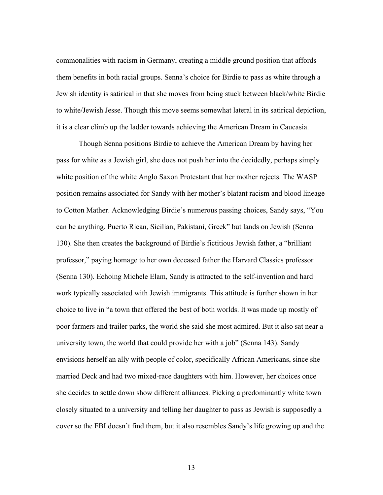commonalities with racism in Germany, creating a middle ground position that affords them benefits in both racial groups. Senna's choice for Birdie to pass as white through a Jewish identity is satirical in that she moves from being stuck between black/white Birdie to white/Jewish Jesse. Though this move seems somewhat lateral in its satirical depiction, it is a clear climb up the ladder towards achieving the American Dream in Caucasia.

Though Senna positions Birdie to achieve the American Dream by having her pass for white as a Jewish girl, she does not push her into the decidedly, perhaps simply white position of the white Anglo Saxon Protestant that her mother rejects. The WASP position remains associated for Sandy with her mother's blatant racism and blood lineage to Cotton Mather. Acknowledging Birdie's numerous passing choices, Sandy says, "You can be anything. Puerto Rican, Sicilian, Pakistani, Greek" but lands on Jewish (Senna 130). She then creates the background of Birdie's fictitious Jewish father, a "brilliant professor," paying homage to her own deceased father the Harvard Classics professor (Senna 130). Echoing Michele Elam, Sandy is attracted to the self-invention and hard work typically associated with Jewish immigrants. This attitude is further shown in her choice to live in "a town that offered the best of both worlds. It was made up mostly of poor farmers and trailer parks, the world she said she most admired. But it also sat near a university town, the world that could provide her with a job" (Senna 143). Sandy envisions herself an ally with people of color, specifically African Americans, since she married Deck and had two mixed-race daughters with him. However, her choices once she decides to settle down show different alliances. Picking a predominantly white town closely situated to a university and telling her daughter to pass as Jewish is supposedly a cover so the FBI doesn't find them, but it also resembles Sandy's life growing up and the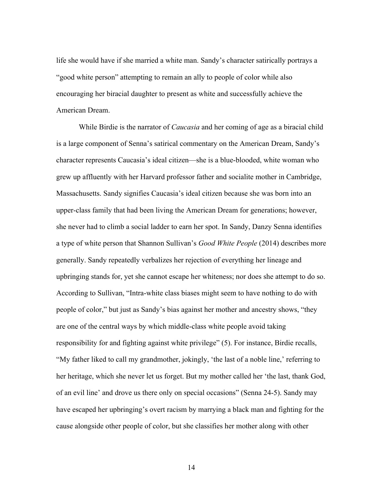life she would have if she married a white man. Sandy's character satirically portrays a "good white person" attempting to remain an ally to people of color while also encouraging her biracial daughter to present as white and successfully achieve the American Dream.

While Birdie is the narrator of *Caucasia* and her coming of age as a biracial child is a large component of Senna's satirical commentary on the American Dream, Sandy's character represents Caucasia's ideal citizen—she is a blue-blooded, white woman who grew up affluently with her Harvard professor father and socialite mother in Cambridge, Massachusetts. Sandy signifies Caucasia's ideal citizen because she was born into an upper-class family that had been living the American Dream for generations; however, she never had to climb a social ladder to earn her spot. In Sandy, Danzy Senna identifies a type of white person that Shannon Sullivan's *Good White People* (2014) describes more generally. Sandy repeatedly verbalizes her rejection of everything her lineage and upbringing stands for, yet she cannot escape her whiteness; nor does she attempt to do so. According to Sullivan, "Intra-white class biases might seem to have nothing to do with people of color," but just as Sandy's bias against her mother and ancestry shows, "they are one of the central ways by which middle-class white people avoid taking responsibility for and fighting against white privilege" (5). For instance, Birdie recalls, "My father liked to call my grandmother, jokingly, 'the last of a noble line,' referring to her heritage, which she never let us forget. But my mother called her 'the last, thank God, of an evil line' and drove us there only on special occasions" (Senna 24-5). Sandy may have escaped her upbringing's overt racism by marrying a black man and fighting for the cause alongside other people of color, but she classifies her mother along with other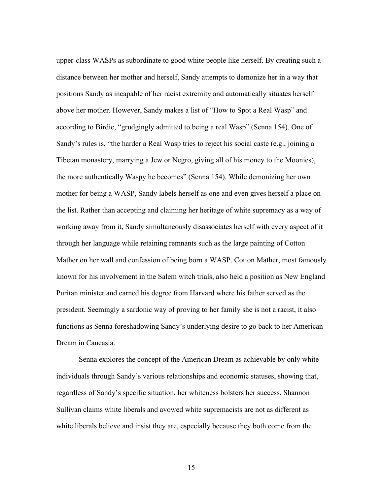upper-class WASPs as subordinate to good white people like herself. By creating such a distance between her mother and herself, Sandy attempts to demonize her in a way that positions Sandy as incapable of her racist extremity and automatically situates herself above her mother. However, Sandy makes a list of "How to Spot a Real Wasp" and according to Birdie, "grudgingly admitted to being a real Wasp" (Senna 154). One of Sandy's rules is, "the harder a Real Wasp tries to reject his social caste (e.g., joining a Tibetan monastery, marrying a Jew or Negro, giving all of his money to the Moonies), the more authentically Waspy he becomes" (Senna 154). While demonizing her own mother for being a WASP, Sandy labels herself as one and even gives herself a place on the list. Rather than accepting and claiming her heritage of white supremacy as a way of working away from it, Sandy simultaneously disassociates herself with every aspect of it through her language while retaining remnants such as the large painting of Cotton Mather on her wall and confession of being born a WASP. Cotton Mather, most famously known for his involvement in the Salem witch trials, also held a position as New England Puritan minister and earned his degree from Harvard where his father served as the president. Seemingly a sardonic way of proving to her family she is not a racist, it also functions as Senna foreshadowing Sandy's underlying desire to go back to her American Dream in Caucasia.

Senna explores the concept of the American Dream as achievable by only white individuals through Sandy's various relationships and economic statuses, showing that, regardless of Sandy's specific situation, her whiteness bolsters her success. Shannon Sullivan claims white liberals and avowed white supremacists are not as different as white liberals believe and insist they are, especially because they both come from the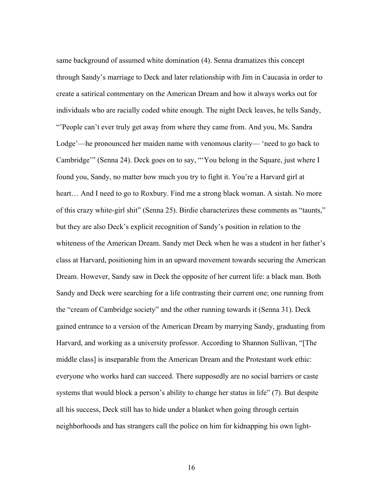same background of assumed white domination (4). Senna dramatizes this concept through Sandy's marriage to Deck and later relationship with Jim in Caucasia in order to create a satirical commentary on the American Dream and how it always works out for individuals who are racially coded white enough. The night Deck leaves, he tells Sandy, "'People can't ever truly get away from where they came from. And you, Ms. Sandra Lodge'—he pronounced her maiden name with venomous clarity— 'need to go back to Cambridge'" (Senna 24). Deck goes on to say, "'You belong in the Square, just where I found you, Sandy, no matter how much you try to fight it. You're a Harvard girl at heart… And I need to go to Roxbury. Find me a strong black woman. A sistah. No more of this crazy white-girl shit" (Senna 25). Birdie characterizes these comments as "taunts," but they are also Deck's explicit recognition of Sandy's position in relation to the whiteness of the American Dream. Sandy met Deck when he was a student in her father's class at Harvard, positioning him in an upward movement towards securing the American Dream. However, Sandy saw in Deck the opposite of her current life: a black man. Both Sandy and Deck were searching for a life contrasting their current one; one running from the "cream of Cambridge society" and the other running towards it (Senna 31). Deck gained entrance to a version of the American Dream by marrying Sandy, graduating from Harvard, and working as a university professor. According to Shannon Sullivan, "[The middle class] is inseparable from the American Dream and the Protestant work ethic: everyone who works hard can succeed. There supposedly are no social barriers or caste systems that would block a person's ability to change her status in life" (7). But despite all his success, Deck still has to hide under a blanket when going through certain neighborhoods and has strangers call the police on him for kidnapping his own light-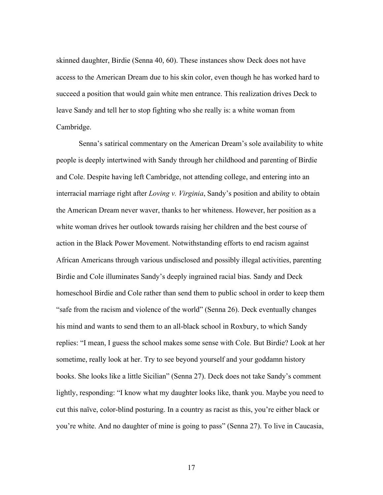skinned daughter, Birdie (Senna 40, 60). These instances show Deck does not have access to the American Dream due to his skin color, even though he has worked hard to succeed a position that would gain white men entrance. This realization drives Deck to leave Sandy and tell her to stop fighting who she really is: a white woman from Cambridge.

Senna's satirical commentary on the American Dream's sole availability to white people is deeply intertwined with Sandy through her childhood and parenting of Birdie and Cole. Despite having left Cambridge, not attending college, and entering into an interracial marriage right after *Loving v. Virginia*, Sandy's position and ability to obtain the American Dream never waver, thanks to her whiteness. However, her position as a white woman drives her outlook towards raising her children and the best course of action in the Black Power Movement. Notwithstanding efforts to end racism against African Americans through various undisclosed and possibly illegal activities, parenting Birdie and Cole illuminates Sandy's deeply ingrained racial bias. Sandy and Deck homeschool Birdie and Cole rather than send them to public school in order to keep them "safe from the racism and violence of the world" (Senna 26). Deck eventually changes his mind and wants to send them to an all-black school in Roxbury, to which Sandy replies: "I mean, I guess the school makes some sense with Cole. But Birdie? Look at her sometime, really look at her. Try to see beyond yourself and your goddamn history books. She looks like a little Sicilian" (Senna 27). Deck does not take Sandy's comment lightly, responding: "I know what my daughter looks like, thank you. Maybe you need to cut this naïve, color-blind posturing. In a country as racist as this, you're either black or you're white. And no daughter of mine is going to pass" (Senna 27). To live in Caucasia,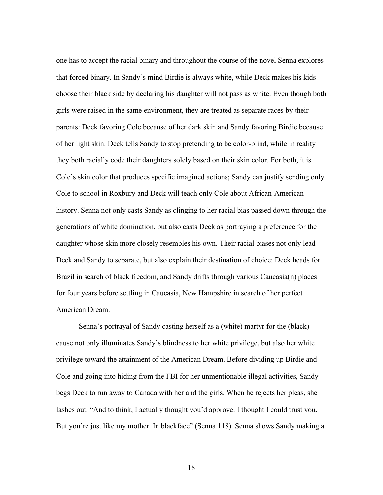one has to accept the racial binary and throughout the course of the novel Senna explores that forced binary. In Sandy's mind Birdie is always white, while Deck makes his kids choose their black side by declaring his daughter will not pass as white. Even though both girls were raised in the same environment, they are treated as separate races by their parents: Deck favoring Cole because of her dark skin and Sandy favoring Birdie because of her light skin. Deck tells Sandy to stop pretending to be color-blind, while in reality they both racially code their daughters solely based on their skin color. For both, it is Cole's skin color that produces specific imagined actions; Sandy can justify sending only Cole to school in Roxbury and Deck will teach only Cole about African-American history. Senna not only casts Sandy as clinging to her racial bias passed down through the generations of white domination, but also casts Deck as portraying a preference for the daughter whose skin more closely resembles his own. Their racial biases not only lead Deck and Sandy to separate, but also explain their destination of choice: Deck heads for Brazil in search of black freedom, and Sandy drifts through various Caucasia(n) places for four years before settling in Caucasia, New Hampshire in search of her perfect American Dream.

Senna's portrayal of Sandy casting herself as a (white) martyr for the (black) cause not only illuminates Sandy's blindness to her white privilege, but also her white privilege toward the attainment of the American Dream. Before dividing up Birdie and Cole and going into hiding from the FBI for her unmentionable illegal activities, Sandy begs Deck to run away to Canada with her and the girls. When he rejects her pleas, she lashes out, "And to think, I actually thought you'd approve. I thought I could trust you. But you're just like my mother. In blackface" (Senna 118). Senna shows Sandy making a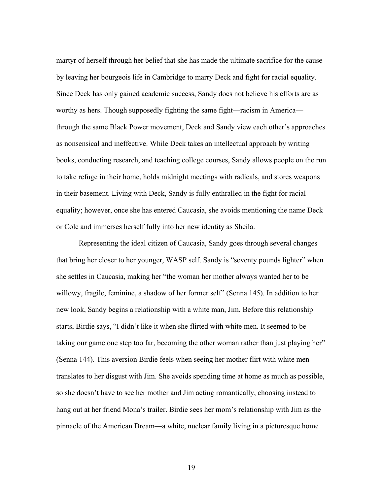martyr of herself through her belief that she has made the ultimate sacrifice for the cause by leaving her bourgeois life in Cambridge to marry Deck and fight for racial equality. Since Deck has only gained academic success, Sandy does not believe his efforts are as worthy as hers. Though supposedly fighting the same fight—racism in America through the same Black Power movement, Deck and Sandy view each other's approaches as nonsensical and ineffective. While Deck takes an intellectual approach by writing books, conducting research, and teaching college courses, Sandy allows people on the run to take refuge in their home, holds midnight meetings with radicals, and stores weapons in their basement. Living with Deck, Sandy is fully enthralled in the fight for racial equality; however, once she has entered Caucasia, she avoids mentioning the name Deck or Cole and immerses herself fully into her new identity as Sheila.

Representing the ideal citizen of Caucasia, Sandy goes through several changes that bring her closer to her younger, WASP self. Sandy is "seventy pounds lighter" when she settles in Caucasia, making her "the woman her mother always wanted her to be willowy, fragile, feminine, a shadow of her former self" (Senna 145). In addition to her new look, Sandy begins a relationship with a white man, Jim. Before this relationship starts, Birdie says, "I didn't like it when she flirted with white men. It seemed to be taking our game one step too far, becoming the other woman rather than just playing her" (Senna 144). This aversion Birdie feels when seeing her mother flirt with white men translates to her disgust with Jim. She avoids spending time at home as much as possible, so she doesn't have to see her mother and Jim acting romantically, choosing instead to hang out at her friend Mona's trailer. Birdie sees her mom's relationship with Jim as the pinnacle of the American Dream—a white, nuclear family living in a picturesque home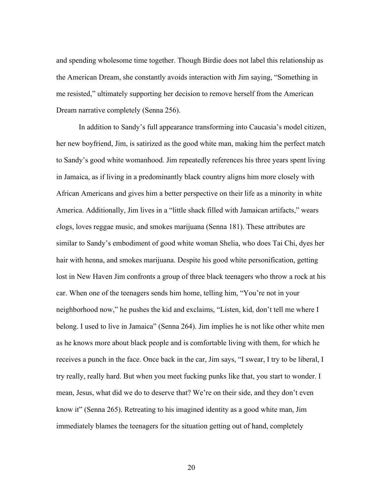and spending wholesome time together. Though Birdie does not label this relationship as the American Dream, she constantly avoids interaction with Jim saying, "Something in me resisted," ultimately supporting her decision to remove herself from the American Dream narrative completely (Senna 256).

In addition to Sandy's full appearance transforming into Caucasia's model citizen, her new boyfriend, Jim, is satirized as the good white man, making him the perfect match to Sandy's good white womanhood. Jim repeatedly references his three years spent living in Jamaica, as if living in a predominantly black country aligns him more closely with African Americans and gives him a better perspective on their life as a minority in white America. Additionally, Jim lives in a "little shack filled with Jamaican artifacts," wears clogs, loves reggae music, and smokes marijuana (Senna 181). These attributes are similar to Sandy's embodiment of good white woman Shelia, who does Tai Chi, dyes her hair with henna, and smokes marijuana. Despite his good white personification, getting lost in New Haven Jim confronts a group of three black teenagers who throw a rock at his car. When one of the teenagers sends him home, telling him, "You're not in your neighborhood now," he pushes the kid and exclaims, "Listen, kid, don't tell me where I belong. I used to live in Jamaica" (Senna 264). Jim implies he is not like other white men as he knows more about black people and is comfortable living with them, for which he receives a punch in the face. Once back in the car, Jim says, "I swear, I try to be liberal, I try really, really hard. But when you meet fucking punks like that, you start to wonder. I mean, Jesus, what did we do to deserve that? We're on their side, and they don't even know it" (Senna 265). Retreating to his imagined identity as a good white man, Jim immediately blames the teenagers for the situation getting out of hand, completely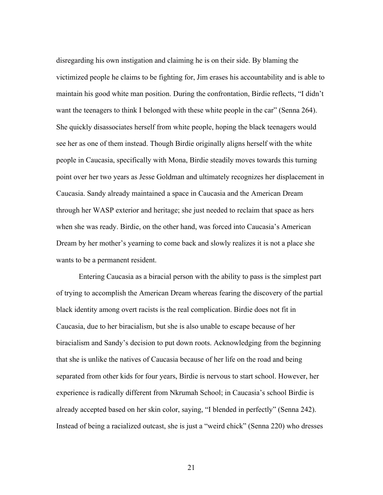disregarding his own instigation and claiming he is on their side. By blaming the victimized people he claims to be fighting for, Jim erases his accountability and is able to maintain his good white man position. During the confrontation, Birdie reflects, "I didn't want the teenagers to think I belonged with these white people in the car" (Senna 264). She quickly disassociates herself from white people, hoping the black teenagers would see her as one of them instead. Though Birdie originally aligns herself with the white people in Caucasia, specifically with Mona, Birdie steadily moves towards this turning point over her two years as Jesse Goldman and ultimately recognizes her displacement in Caucasia. Sandy already maintained a space in Caucasia and the American Dream through her WASP exterior and heritage; she just needed to reclaim that space as hers when she was ready. Birdie, on the other hand, was forced into Caucasia's American Dream by her mother's yearning to come back and slowly realizes it is not a place she wants to be a permanent resident.

Entering Caucasia as a biracial person with the ability to pass is the simplest part of trying to accomplish the American Dream whereas fearing the discovery of the partial black identity among overt racists is the real complication. Birdie does not fit in Caucasia, due to her biracialism, but she is also unable to escape because of her biracialism and Sandy's decision to put down roots. Acknowledging from the beginning that she is unlike the natives of Caucasia because of her life on the road and being separated from other kids for four years, Birdie is nervous to start school. However, her experience is radically different from Nkrumah School; in Caucasia's school Birdie is already accepted based on her skin color, saying, "I blended in perfectly" (Senna 242). Instead of being a racialized outcast, she is just a "weird chick" (Senna 220) who dresses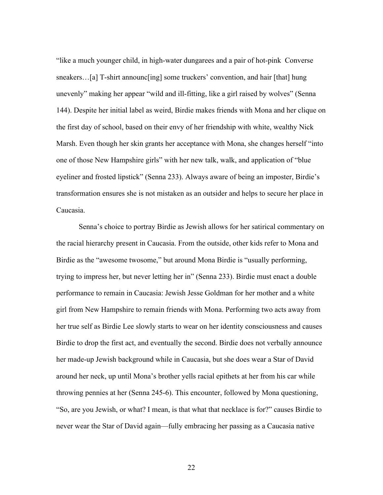"like a much younger child, in high-water dungarees and a pair of hot-pink Converse sneakers…[a] T-shirt announc[ing] some truckers' convention, and hair [that] hung unevenly" making her appear "wild and ill-fitting, like a girl raised by wolves" (Senna 144). Despite her initial label as weird, Birdie makes friends with Mona and her clique on the first day of school, based on their envy of her friendship with white, wealthy Nick Marsh. Even though her skin grants her acceptance with Mona, she changes herself "into one of those New Hampshire girls" with her new talk, walk, and application of "blue eyeliner and frosted lipstick" (Senna 233). Always aware of being an imposter, Birdie's transformation ensures she is not mistaken as an outsider and helps to secure her place in Caucasia.

Senna's choice to portray Birdie as Jewish allows for her satirical commentary on the racial hierarchy present in Caucasia. From the outside, other kids refer to Mona and Birdie as the "awesome twosome," but around Mona Birdie is "usually performing, trying to impress her, but never letting her in" (Senna 233). Birdie must enact a double performance to remain in Caucasia: Jewish Jesse Goldman for her mother and a white girl from New Hampshire to remain friends with Mona. Performing two acts away from her true self as Birdie Lee slowly starts to wear on her identity consciousness and causes Birdie to drop the first act, and eventually the second. Birdie does not verbally announce her made-up Jewish background while in Caucasia, but she does wear a Star of David around her neck, up until Mona's brother yells racial epithets at her from his car while throwing pennies at her (Senna 245-6). This encounter, followed by Mona questioning, "So, are you Jewish, or what? I mean, is that what that necklace is for?" causes Birdie to never wear the Star of David again—fully embracing her passing as a Caucasia native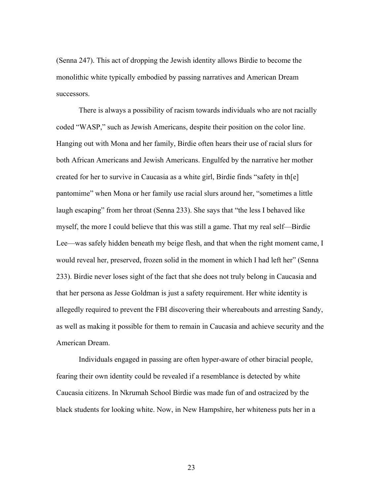(Senna 247). This act of dropping the Jewish identity allows Birdie to become the monolithic white typically embodied by passing narratives and American Dream successors.

There is always a possibility of racism towards individuals who are not racially coded "WASP," such as Jewish Americans, despite their position on the color line. Hanging out with Mona and her family, Birdie often hears their use of racial slurs for both African Americans and Jewish Americans. Engulfed by the narrative her mother created for her to survive in Caucasia as a white girl, Birdie finds "safety in th[e] pantomime" when Mona or her family use racial slurs around her, "sometimes a little laugh escaping" from her throat (Senna 233). She says that "the less I behaved like myself, the more I could believe that this was still a game. That my real self—Birdie Lee—was safely hidden beneath my beige flesh, and that when the right moment came, I would reveal her, preserved, frozen solid in the moment in which I had left her" (Senna 233). Birdie never loses sight of the fact that she does not truly belong in Caucasia and that her persona as Jesse Goldman is just a safety requirement. Her white identity is allegedly required to prevent the FBI discovering their whereabouts and arresting Sandy, as well as making it possible for them to remain in Caucasia and achieve security and the American Dream.

Individuals engaged in passing are often hyper-aware of other biracial people, fearing their own identity could be revealed if a resemblance is detected by white Caucasia citizens. In Nkrumah School Birdie was made fun of and ostracized by the black students for looking white. Now, in New Hampshire, her whiteness puts her in a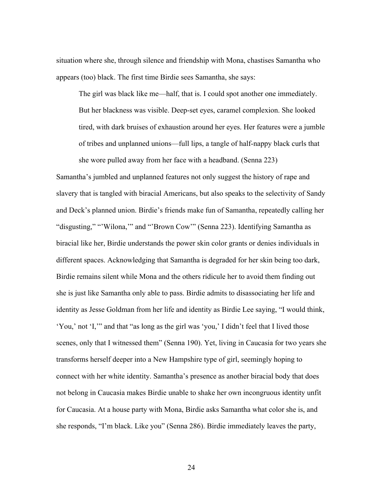situation where she, through silence and friendship with Mona, chastises Samantha who appears (too) black. The first time Birdie sees Samantha, she says:

The girl was black like me—half, that is. I could spot another one immediately. But her blackness was visible. Deep-set eyes, caramel complexion. She looked tired, with dark bruises of exhaustion around her eyes. Her features were a jumble of tribes and unplanned unions—full lips, a tangle of half-nappy black curls that she wore pulled away from her face with a headband. (Senna 223)

Samantha's jumbled and unplanned features not only suggest the history of rape and slavery that is tangled with biracial Americans, but also speaks to the selectivity of Sandy and Deck's planned union. Birdie's friends make fun of Samantha, repeatedly calling her "disgusting," "'Wilona,"' and "'Brown Cow'" (Senna 223). Identifying Samantha as biracial like her, Birdie understands the power skin color grants or denies individuals in different spaces. Acknowledging that Samantha is degraded for her skin being too dark, Birdie remains silent while Mona and the others ridicule her to avoid them finding out she is just like Samantha only able to pass. Birdie admits to disassociating her life and identity as Jesse Goldman from her life and identity as Birdie Lee saying, "I would think, 'You,' not 'I,'" and that "as long as the girl was 'you,' I didn't feel that I lived those scenes, only that I witnessed them" (Senna 190). Yet, living in Caucasia for two years she transforms herself deeper into a New Hampshire type of girl, seemingly hoping to connect with her white identity. Samantha's presence as another biracial body that does not belong in Caucasia makes Birdie unable to shake her own incongruous identity unfit for Caucasia. At a house party with Mona, Birdie asks Samantha what color she is, and she responds, "I'm black. Like you" (Senna 286). Birdie immediately leaves the party,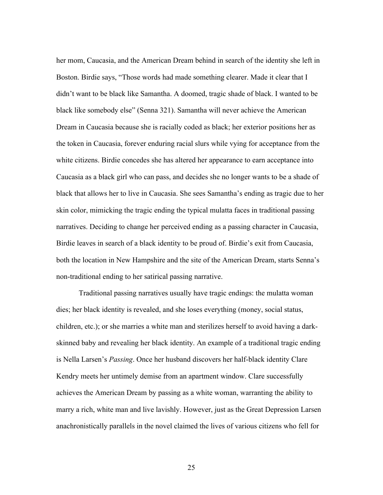her mom, Caucasia, and the American Dream behind in search of the identity she left in Boston. Birdie says, "Those words had made something clearer. Made it clear that I didn't want to be black like Samantha. A doomed, tragic shade of black. I wanted to be black like somebody else" (Senna 321). Samantha will never achieve the American Dream in Caucasia because she is racially coded as black; her exterior positions her as the token in Caucasia, forever enduring racial slurs while vying for acceptance from the white citizens. Birdie concedes she has altered her appearance to earn acceptance into Caucasia as a black girl who can pass, and decides she no longer wants to be a shade of black that allows her to live in Caucasia. She sees Samantha's ending as tragic due to her skin color, mimicking the tragic ending the typical mulatta faces in traditional passing narratives. Deciding to change her perceived ending as a passing character in Caucasia, Birdie leaves in search of a black identity to be proud of. Birdie's exit from Caucasia, both the location in New Hampshire and the site of the American Dream, starts Senna's non-traditional ending to her satirical passing narrative.

Traditional passing narratives usually have tragic endings: the mulatta woman dies; her black identity is revealed, and she loses everything (money, social status, children, etc.); or she marries a white man and sterilizes herself to avoid having a darkskinned baby and revealing her black identity. An example of a traditional tragic ending is Nella Larsen's *Passing*. Once her husband discovers her half-black identity Clare Kendry meets her untimely demise from an apartment window. Clare successfully achieves the American Dream by passing as a white woman, warranting the ability to marry a rich, white man and live lavishly. However, just as the Great Depression Larsen anachronistically parallels in the novel claimed the lives of various citizens who fell for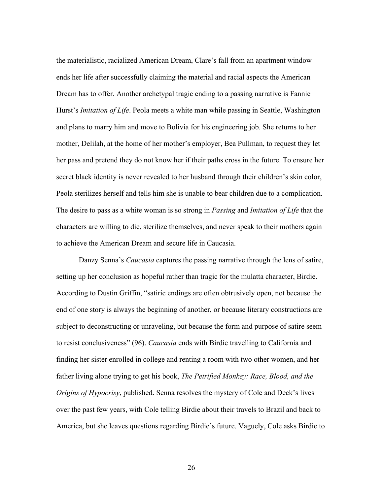the materialistic, racialized American Dream, Clare's fall from an apartment window ends her life after successfully claiming the material and racial aspects the American Dream has to offer. Another archetypal tragic ending to a passing narrative is Fannie Hurst's *Imitation of Life*. Peola meets a white man while passing in Seattle, Washington and plans to marry him and move to Bolivia for his engineering job. She returns to her mother, Delilah, at the home of her mother's employer, Bea Pullman, to request they let her pass and pretend they do not know her if their paths cross in the future. To ensure her secret black identity is never revealed to her husband through their children's skin color, Peola sterilizes herself and tells him she is unable to bear children due to a complication. The desire to pass as a white woman is so strong in *Passing* and *Imitation of Life* that the characters are willing to die, sterilize themselves, and never speak to their mothers again to achieve the American Dream and secure life in Caucasia.

Danzy Senna's *Caucasia* captures the passing narrative through the lens of satire, setting up her conclusion as hopeful rather than tragic for the mulatta character, Birdie. According to Dustin Griffin, "satiric endings are often obtrusively open, not because the end of one story is always the beginning of another, or because literary constructions are subject to deconstructing or unraveling, but because the form and purpose of satire seem to resist conclusiveness" (96). *Caucasia* ends with Birdie travelling to California and finding her sister enrolled in college and renting a room with two other women, and her father living alone trying to get his book, *The Petrified Monkey: Race, Blood, and the Origins of Hypocrisy*, published. Senna resolves the mystery of Cole and Deck's lives over the past few years, with Cole telling Birdie about their travels to Brazil and back to America, but she leaves questions regarding Birdie's future. Vaguely, Cole asks Birdie to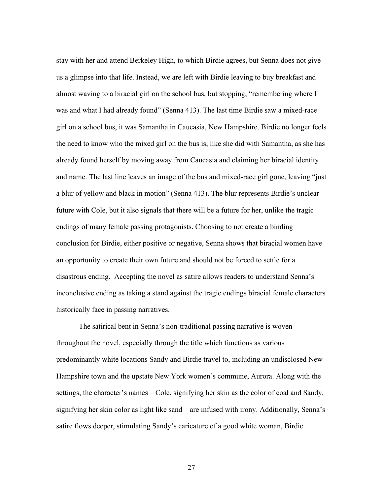stay with her and attend Berkeley High, to which Birdie agrees, but Senna does not give us a glimpse into that life. Instead, we are left with Birdie leaving to buy breakfast and almost waving to a biracial girl on the school bus, but stopping, "remembering where I was and what I had already found" (Senna 413). The last time Birdie saw a mixed-race girl on a school bus, it was Samantha in Caucasia, New Hampshire. Birdie no longer feels the need to know who the mixed girl on the bus is, like she did with Samantha, as she has already found herself by moving away from Caucasia and claiming her biracial identity and name. The last line leaves an image of the bus and mixed-race girl gone, leaving "just a blur of yellow and black in motion" (Senna 413). The blur represents Birdie's unclear future with Cole, but it also signals that there will be a future for her, unlike the tragic endings of many female passing protagonists. Choosing to not create a binding conclusion for Birdie, either positive or negative, Senna shows that biracial women have an opportunity to create their own future and should not be forced to settle for a disastrous ending. Accepting the novel as satire allows readers to understand Senna's inconclusive ending as taking a stand against the tragic endings biracial female characters historically face in passing narratives.

The satirical bent in Senna's non-traditional passing narrative is woven throughout the novel, especially through the title which functions as various predominantly white locations Sandy and Birdie travel to, including an undisclosed New Hampshire town and the upstate New York women's commune, Aurora. Along with the settings, the character's names—Cole, signifying her skin as the color of coal and Sandy, signifying her skin color as light like sand—are infused with irony. Additionally, Senna's satire flows deeper, stimulating Sandy's caricature of a good white woman, Birdie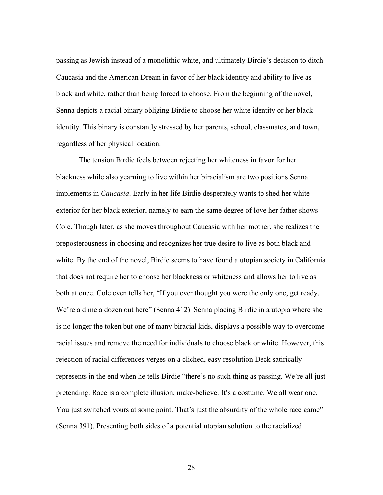passing as Jewish instead of a monolithic white, and ultimately Birdie's decision to ditch Caucasia and the American Dream in favor of her black identity and ability to live as black and white, rather than being forced to choose. From the beginning of the novel, Senna depicts a racial binary obliging Birdie to choose her white identity or her black identity. This binary is constantly stressed by her parents, school, classmates, and town, regardless of her physical location.

The tension Birdie feels between rejecting her whiteness in favor for her blackness while also yearning to live within her biracialism are two positions Senna implements in *Caucasia*. Early in her life Birdie desperately wants to shed her white exterior for her black exterior, namely to earn the same degree of love her father shows Cole. Though later, as she moves throughout Caucasia with her mother, she realizes the preposterousness in choosing and recognizes her true desire to live as both black and white. By the end of the novel, Birdie seems to have found a utopian society in California that does not require her to choose her blackness or whiteness and allows her to live as both at once. Cole even tells her, "If you ever thought you were the only one, get ready. We're a dime a dozen out here" (Senna 412). Senna placing Birdie in a utopia where she is no longer the token but one of many biracial kids, displays a possible way to overcome racial issues and remove the need for individuals to choose black or white. However, this rejection of racial differences verges on a cliched, easy resolution Deck satirically represents in the end when he tells Birdie "there's no such thing as passing. We're all just pretending. Race is a complete illusion, make-believe. It's a costume. We all wear one. You just switched yours at some point. That's just the absurdity of the whole race game" (Senna 391). Presenting both sides of a potential utopian solution to the racialized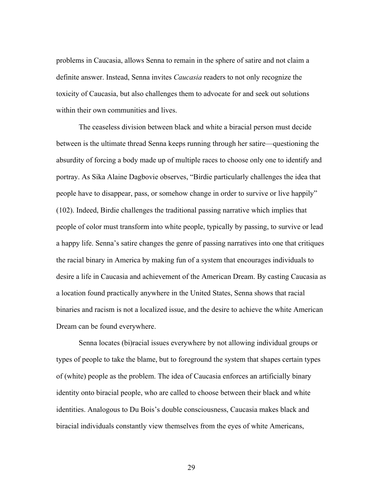problems in Caucasia, allows Senna to remain in the sphere of satire and not claim a definite answer. Instead, Senna invites *Caucasia* readers to not only recognize the toxicity of Caucasia, but also challenges them to advocate for and seek out solutions within their own communities and lives.

The ceaseless division between black and white a biracial person must decide between is the ultimate thread Senna keeps running through her satire—questioning the absurdity of forcing a body made up of multiple races to choose only one to identify and portray. As Sika Alaine Dagbovie observes, "Birdie particularly challenges the idea that people have to disappear, pass, or somehow change in order to survive or live happily" (102). Indeed, Birdie challenges the traditional passing narrative which implies that people of color must transform into white people, typically by passing, to survive or lead a happy life. Senna's satire changes the genre of passing narratives into one that critiques the racial binary in America by making fun of a system that encourages individuals to desire a life in Caucasia and achievement of the American Dream. By casting Caucasia as a location found practically anywhere in the United States, Senna shows that racial binaries and racism is not a localized issue, and the desire to achieve the white American Dream can be found everywhere.

Senna locates (bi)racial issues everywhere by not allowing individual groups or types of people to take the blame, but to foreground the system that shapes certain types of (white) people as the problem. The idea of Caucasia enforces an artificially binary identity onto biracial people, who are called to choose between their black and white identities. Analogous to Du Bois's double consciousness, Caucasia makes black and biracial individuals constantly view themselves from the eyes of white Americans,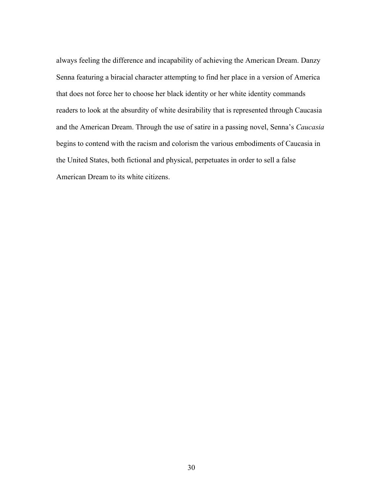always feeling the difference and incapability of achieving the American Dream. Danzy Senna featuring a biracial character attempting to find her place in a version of America that does not force her to choose her black identity or her white identity commands readers to look at the absurdity of white desirability that is represented through Caucasia and the American Dream. Through the use of satire in a passing novel, Senna's *Caucasia* begins to contend with the racism and colorism the various embodiments of Caucasia in the United States, both fictional and physical, perpetuates in order to sell a false American Dream to its white citizens.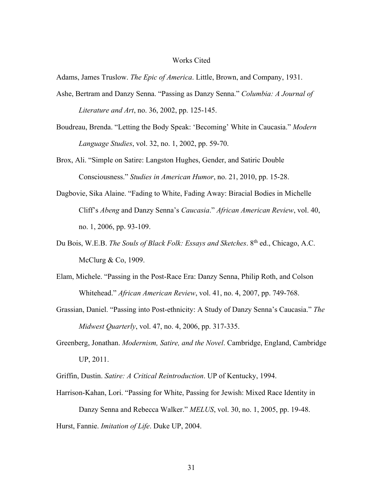#### Works Cited

Adams, James Truslow. *The Epic of America*. Little, Brown, and Company, 1931.

- Ashe, Bertram and Danzy Senna. "Passing as Danzy Senna." *Columbia: A Journal of Literature and Art*, no. 36, 2002, pp. 125-145.
- Boudreau, Brenda. "Letting the Body Speak: 'Becoming' White in Caucasia." *Modern Language Studies*, vol. 32, no. 1, 2002, pp. 59-70.
- Brox, Ali. "Simple on Satire: Langston Hughes, Gender, and Satiric Double Consciousness." *Studies in American Humor*, no. 21, 2010, pp. 15-28.
- Dagbovie, Sika Alaine. "Fading to White, Fading Away: Biracial Bodies in Michelle Cliff's *Abeng* and Danzy Senna's *Caucasia*." *African American Review*, vol. 40, no. 1, 2006, pp. 93-109.
- Du Bois, W.E.B. *The Souls of Black Folk: Essays and Sketches*. 8th ed., Chicago, A.C. McClurg & Co, 1909.
- Elam, Michele. "Passing in the Post-Race Era: Danzy Senna, Philip Roth, and Colson Whitehead." *African American Review*, vol. 41, no. 4, 2007, pp. 749-768.
- Grassian, Daniel. "Passing into Post-ethnicity: A Study of Danzy Senna's Caucasia." *The Midwest Quarterly*, vol. 47, no. 4, 2006, pp. 317-335.
- Greenberg, Jonathan. *Modernism, Satire, and the Novel*. Cambridge, England, Cambridge UP, 2011.
- Griffin, Dustin. *Satire: A Critical Reintroduction*. UP of Kentucky, 1994.
- Harrison-Kahan, Lori. "Passing for White, Passing for Jewish: Mixed Race Identity in Danzy Senna and Rebecca Walker." *MELUS*, vol. 30, no. 1, 2005, pp. 19-48. Hurst, Fannie. *Imitation of Life*. Duke UP, 2004.